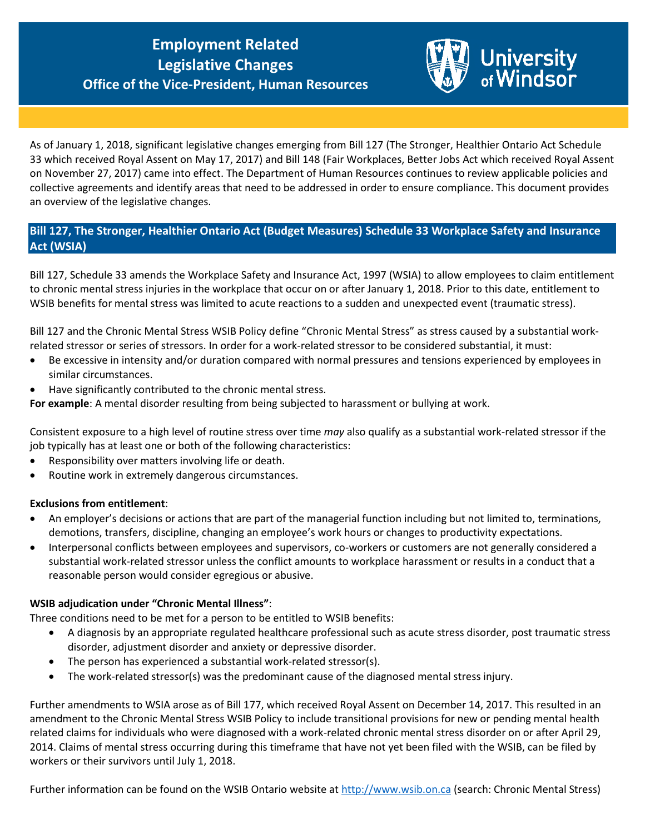# **Succession Programs Office of the Vice-President, Human Resources Employment Related**



As of January 1, 2018, significant legislative changes emerging from Bill 127 (The Stronger, Healthier Ontario Act Schedule 33 which received Royal Assent on May 17, 2017) and Bill 148 (Fair Workplaces, Better Jobs Act which received Royal Assent on November 27, 2017) came into effect. The Department of Human Resources continues to review applicable policies and collective agreements and identify areas that need to be addressed in order to ensure compliance. This document provides an overview of the legislative changes.

## **Bill 127, The Stronger, Healthier Ontario Act (Budget Measures) Schedule 33 Workplace Safety and Insurance Act (WSIA)**

Bill 127, Schedule 33 amends the Workplace Safety and Insurance Act, 1997 (WSIA) to allow employees to claim entitlement to chronic mental stress injuries in the workplace that occur on or after January 1, 2018. Prior to this date, entitlement to WSIB benefits for mental stress was limited to acute reactions to a sudden and unexpected event (traumatic stress).

Bill 127 and the Chronic Mental Stress WSIB Policy define "Chronic Mental Stress" as stress caused by a substantial workrelated stressor or series of stressors. In order for a work-related stressor to be considered substantial, it must:

- Be excessive in intensity and/or duration compared with normal pressures and tensions experienced by employees in similar circumstances.
- Have significantly contributed to the chronic mental stress.

**For example**: A mental disorder resulting from being subjected to harassment or bullying at work.

Consistent exposure to a high level of routine stress over time *may* also qualify as a substantial work-related stressor if the job typically has at least one or both of the following characteristics:

- Responsibility over matters involving life or death.
- Routine work in extremely dangerous circumstances.

#### **Exclusions from entitlement**:

- An employer's decisions or actions that are part of the managerial function including but not limited to, terminations, demotions, transfers, discipline, changing an employee's work hours or changes to productivity expectations.
- Interpersonal conflicts between employees and supervisors, co-workers or customers are not generally considered a substantial work-related stressor unless the conflict amounts to workplace harassment or results in a conduct that a reasonable person would consider egregious or abusive.

## **WSIB adjudication under "Chronic Mental Illness"**:

Three conditions need to be met for a person to be entitled to WSIB benefits:

- A diagnosis by an appropriate regulated healthcare professional such as acute stress disorder, post traumatic stress disorder, adjustment disorder and anxiety or depressive disorder.
- The person has experienced a substantial work-related stressor(s).
- The work-related stressor(s) was the predominant cause of the diagnosed mental stress injury.

Further amendments to WSIA arose as of Bill 177, which received Royal Assent on December 14, 2017. This resulted in an amendment to the Chronic Mental Stress WSIB Policy to include transitional provisions for new or pending mental health related claims for individuals who were diagnosed with a work-related chronic mental stress disorder on or after April 29, 2014. Claims of mental stress occurring during this timeframe that have not yet been filed with the WSIB, can be filed by workers or their survivors until July 1, 2018.

Further information can be found on the WSIB Ontario website at [http://www.wsib.on.ca](http://www.wsib.on.ca/) (search: Chronic Mental Stress)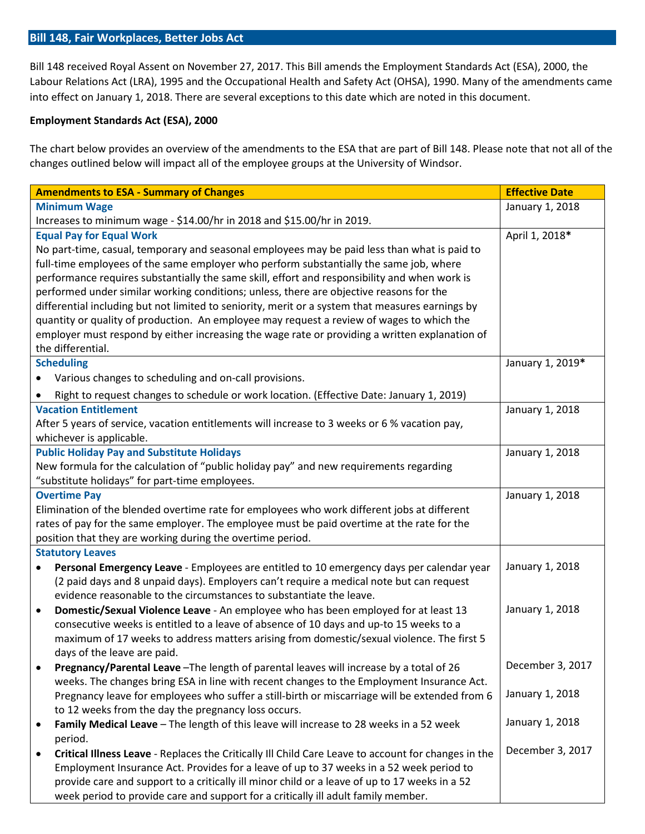#### **Bill 148, Fair Workplaces, Better Jobs Act**

Bill 148 received Royal Assent on November 27, 2017. This Bill amends the Employment Standards Act (ESA), 2000, the Labour Relations Act (LRA), 1995 and the Occupational Health and Safety Act (OHSA), 1990. Many of the amendments came into effect on January 1, 2018. There are several exceptions to this date which are noted in this document.

## **Employment Standards Act (ESA), 2000**

The chart below provides an overview of the amendments to the ESA that are part of Bill 148. Please note that not all of the changes outlined below will impact all of the employee groups at the University of Windsor.

| <b>Amendments to ESA - Summary of Changes</b>                                                         | <b>Effective Date</b> |
|-------------------------------------------------------------------------------------------------------|-----------------------|
| <b>Minimum Wage</b>                                                                                   | January 1, 2018       |
| Increases to minimum wage - \$14.00/hr in 2018 and \$15.00/hr in 2019.                                |                       |
| <b>Equal Pay for Equal Work</b>                                                                       | April 1, 2018*        |
| No part-time, casual, temporary and seasonal employees may be paid less than what is paid to          |                       |
| full-time employees of the same employer who perform substantially the same job, where                |                       |
| performance requires substantially the same skill, effort and responsibility and when work is         |                       |
| performed under similar working conditions; unless, there are objective reasons for the               |                       |
| differential including but not limited to seniority, merit or a system that measures earnings by      |                       |
| quantity or quality of production. An employee may request a review of wages to which the             |                       |
| employer must respond by either increasing the wage rate or providing a written explanation of        |                       |
| the differential.                                                                                     |                       |
| <b>Scheduling</b>                                                                                     | January 1, 2019*      |
| Various changes to scheduling and on-call provisions.                                                 |                       |
| Right to request changes to schedule or work location. (Effective Date: January 1, 2019)              |                       |
| <b>Vacation Entitlement</b>                                                                           | January 1, 2018       |
| After 5 years of service, vacation entitlements will increase to 3 weeks or 6 % vacation pay,         |                       |
| whichever is applicable.                                                                              |                       |
| <b>Public Holiday Pay and Substitute Holidays</b>                                                     | January 1, 2018       |
| New formula for the calculation of "public holiday pay" and new requirements regarding                |                       |
| "substitute holidays" for part-time employees.                                                        |                       |
| <b>Overtime Pay</b>                                                                                   | January 1, 2018       |
| Elimination of the blended overtime rate for employees who work different jobs at different           |                       |
| rates of pay for the same employer. The employee must be paid overtime at the rate for the            |                       |
| position that they are working during the overtime period.                                            |                       |
| <b>Statutory Leaves</b>                                                                               |                       |
| Personal Emergency Leave - Employees are entitled to 10 emergency days per calendar year<br>$\bullet$ | January 1, 2018       |
| (2 paid days and 8 unpaid days). Employers can't require a medical note but can request               |                       |
| evidence reasonable to the circumstances to substantiate the leave.                                   |                       |
| Domestic/Sexual Violence Leave - An employee who has been employed for at least 13                    | January 1, 2018       |
| consecutive weeks is entitled to a leave of absence of 10 days and up-to 15 weeks to a                |                       |
| maximum of 17 weeks to address matters arising from domestic/sexual violence. The first 5             |                       |
| days of the leave are paid.                                                                           |                       |
| Pregnancy/Parental Leave - The length of parental leaves will increase by a total of 26               | December 3, 2017      |
| weeks. The changes bring ESA in line with recent changes to the Employment Insurance Act.             |                       |
| Pregnancy leave for employees who suffer a still-birth or miscarriage will be extended from 6         | January 1, 2018       |
| to 12 weeks from the day the pregnancy loss occurs.                                                   |                       |
|                                                                                                       | January 1, 2018       |
| Family Medical Leave - The length of this leave will increase to 28 weeks in a 52 week                |                       |
| period.                                                                                               | December 3, 2017      |
| Critical Illness Leave - Replaces the Critically III Child Care Leave to account for changes in the   |                       |
| Employment Insurance Act. Provides for a leave of up to 37 weeks in a 52 week period to               |                       |
| provide care and support to a critically ill minor child or a leave of up to 17 weeks in a 52         |                       |
| week period to provide care and support for a critically ill adult family member.                     |                       |